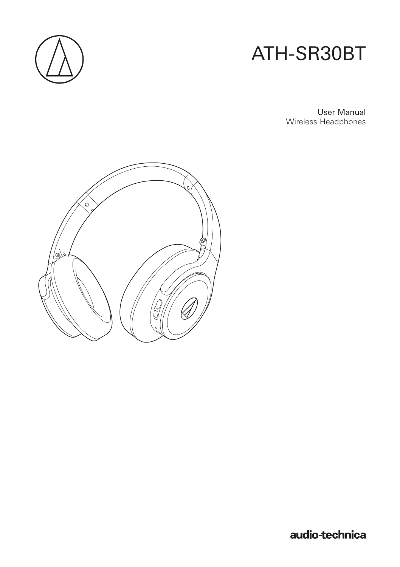

# ATH-SR30BT

User Manual Wireless Headphones



audio-technica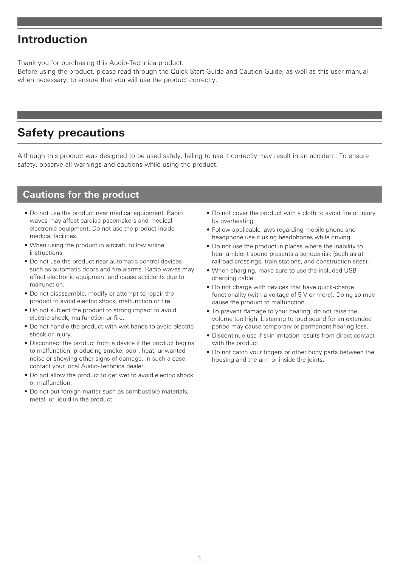### **Introduction**

Thank you for purchasing this Audio-Technica product.

Before using the product, please read through the Quick Start Guide and Caution Guide, as well as this user manual when necessary, to ensure that you will use the product correctly.

## **Safety precautions**

Although this product was designed to be used safely, failing to use it correctly may result in an accident. To ensure safety, observe all warnings and cautions while using the product.

#### **Cautions for the product**

- Do not use the product near medical equipment. Radio waves may affect cardiac pacemakers and medical electronic equipment. Do not use the product inside medical facilities.
- When using the product in aircraft, follow airline instructions.
- Do not use the product near automatic control devices such as automatic doors and fire alarms. Radio waves may affect electronic equipment and cause accidents due to malfunction.
- Do not disassemble, modify or attempt to repair the product to avoid electric shock, malfunction or fire.
- Do not subject the product to strong impact to avoid electric shock, malfunction or fire.
- Do not handle the product with wet hands to avoid electric shock or injury.
- Disconnect the product from a device if the product begins to malfunction, producing smoke, odor, heat, unwanted noise or showing other signs of damage. In such a case, contact your local Audio-Technica dealer.
- Do not allow the product to get wet to avoid electric shock or malfunction.
- Do not put foreign matter such as combustible materials, metal, or liquid in the product.
- Do not cover the product with a cloth to avoid fire or injury by overheating.
- Follow applicable laws regarding mobile phone and headphone use if using headphones while driving.
- Do not use the product in places where the inability to hear ambient sound presents a serious risk (such as at railroad crossings, train stations, and construction sites).
- When charging, make sure to use the included USB charging cable.
- Do not charge with devices that have quick-charge functionality (with a voltage of 5 V or more). Doing so may cause the product to malfunction.
- To prevent damage to your hearing, do not raise the volume too high. Listening to loud sound for an extended period may cause temporary or permanent hearing loss.
- Discontinue use if skin irritation results from direct contact with the product.
- Do not catch your fingers or other body parts between the housing and the arm or inside the joints.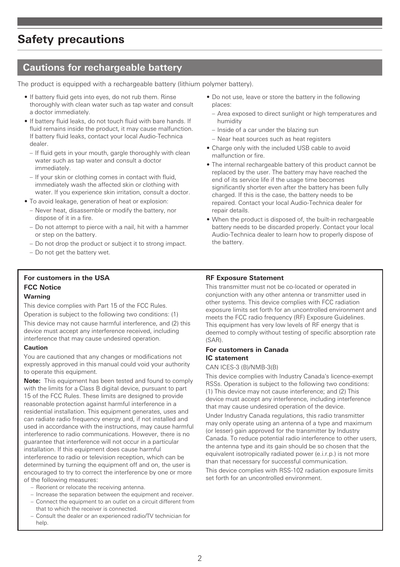### **Safety precautions**

### **Cautions for rechargeable battery**

The product is equipped with a rechargeable battery (lithium polymer battery).

- If battery fluid gets into eyes, do not rub them. Rinse thoroughly with clean water such as tap water and consult a doctor immediately.
- If battery fluid leaks, do not touch fluid with bare hands. If fluid remains inside the product, it may cause malfunction. If battery fluid leaks, contact your local Audio-Technica dealer.
	- If fluid gets in your mouth, gargle thoroughly with clean water such as tap water and consult a doctor immediately.
	- If your skin or clothing comes in contact with fluid, immediately wash the affected skin or clothing with water. If you experience skin irritation, consult a doctor.
- To avoid leakage, generation of heat or explosion:
	- Never heat, disassemble or modify the battery, nor dispose of it in a fire.
	- Do not attempt to pierce with a nail, hit with a hammer or step on the battery.
	- Do not drop the product or subject it to strong impact.
	- Do not get the battery wet.

#### **For customers in the USA FCC Notice**

#### **Warning**

This device complies with Part 15 of the FCC Rules.

Operation is subject to the following two conditions: (1) This device may not cause harmful interference, and (2) this device must accept any interference received, including interference that may cause undesired operation.

#### **Caution**

You are cautioned that any changes or modifications not expressly approved in this manual could void your authority to operate this equipment.

**Note:** This equipment has been tested and found to comply with the limits for a Class B digital device, pursuant to part 15 of the FCC Rules. These limits are designed to provide reasonable protection against harmful interference in a residential installation. This equipment generates, uses and can radiate radio frequency energy and, if not installed and used in accordance with the instructions, may cause harmful interference to radio communications. However, there is no guarantee that interference will not occur in a particular installation. If this equipment does cause harmful interference to radio or television reception, which can be determined by turning the equipment off and on, the user is encouraged to try to correct the interference by one or more of the following measures:

- Reorient or relocate the receiving antenna.
- Increase the separation between the equipment and receiver.
- Connect the equipment to an outlet on a circuit different from that to which the receiver is connected.
- Consult the dealer or an experienced radio/TV technician for help
- Do not use, leave or store the battery in the following places:
	- Area exposed to direct sunlight or high temperatures and humidity
	- Inside of a car under the blazing sun
	- Near heat sources such as heat registers
- Charge only with the included USB cable to avoid malfunction or fire.
- The internal rechargeable battery of this product cannot be replaced by the user. The battery may have reached the end of its service life if the usage time becomes significantly shorter even after the battery has been fully charged. If this is the case, the battery needs to be repaired. Contact your local Audio-Technica dealer for repair details.
- When the product is disposed of, the built-in rechargeable battery needs to be discarded properly. Contact your local Audio-Technica dealer to learn how to properly dispose of the battery.

#### **RF Exposure Statement**

This transmitter must not be co-located or operated in conjunction with any other antenna or transmitter used in other systems. This device complies with FCC radiation exposure limits set forth for an uncontrolled environment and meets the FCC radio frequency (RF) Exposure Guidelines. This equipment has very low levels of RF energy that is deemed to comply without testing of specific absorption rate (SAR).

#### **For customers in Canada IC statement**

#### CAN ICES-3 (B)/NMB-3(B)

This device complies with Industry Canada's licence-exempt RSSs. Operation is subject to the following two conditions: (1) This device may not cause interference; and (2) This device must accept any interference, including interference that may cause undesired operation of the device.

Under Industry Canada regulations, this radio transmitter may only operate using an antenna of a type and maximum (or lesser) gain approved for the transmitter by Industry Canada. To reduce potential radio interference to other users, the antenna type and its gain should be so chosen that the equivalent isotropically radiated power (e.i.r.p.) is not more than that necessary for successful communication.

This device complies with RSS-102 radiation exposure limits set forth for an uncontrolled environment.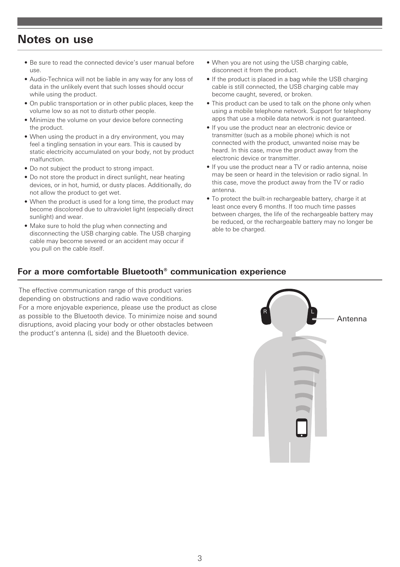### **Notes on use**

- Be sure to read the connected device's user manual before use.
- Audio-Technica will not be liable in any way for any loss of data in the unlikely event that such losses should occur while using the product.
- On public transportation or in other public places, keep the volume low so as not to disturb other people.
- Minimize the volume on your device before connecting the product.
- When using the product in a dry environment, you may feel a tingling sensation in your ears. This is caused by static electricity accumulated on your body, not by product malfunction.
- Do not subject the product to strong impact.
- Do not store the product in direct sunlight, near heating devices, or in hot, humid, or dusty places. Additionally, do not allow the product to get wet.
- When the product is used for a long time, the product may become discolored due to ultraviolet light (especially direct sunlight) and wear.
- Make sure to hold the plug when connecting and disconnecting the USB charging cable. The USB charging cable may become severed or an accident may occur if you pull on the cable itself.
- When you are not using the USB charging cable. disconnect it from the product.
- If the product is placed in a bag while the USB charging cable is still connected, the USB charging cable may become caught, severed, or broken.
- This product can be used to talk on the phone only when using a mobile telephone network. Support for telephony apps that use a mobile data network is not guaranteed.
- If you use the product near an electronic device or transmitter (such as a mobile phone) which is not connected with the product, unwanted noise may be heard. In this case, move the product away from the electronic device or transmitter.
- If you use the product near a TV or radio antenna, noise may be seen or heard in the television or radio signal. In this case, move the product away from the TV or radio antenna.
- To protect the built-in rechargeable battery, charge it at least once every 6 months. If too much time passes between charges, the life of the rechargeable battery may be reduced, or the rechargeable battery may no longer be able to be charged.

#### <span id="page-3-0"></span>**For a more comfortable Bluetooth® communication experience**

The effective communication range of this product varies depending on obstructions and radio wave conditions. For a more enjoyable experience, please use the product as close as possible to the Bluetooth device. To minimize noise and sound disruptions, avoid placing your body or other obstacles between the product's antenna (L side) and the Bluetooth device.

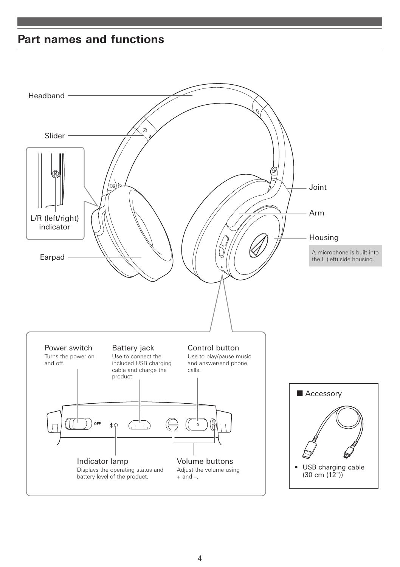## **Part names and functions**

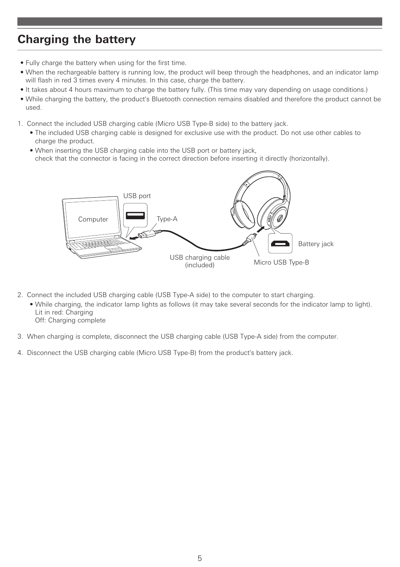## <span id="page-5-0"></span>**Charging the battery**

- Fully charge the battery when using for the first time.
- When the rechargeable battery is running low, the product will beep through the headphones, and an indicator lamp will flash in red 3 times every 4 minutes. In this case, charge the battery.
- It takes about 4 hours maximum to charge the battery fully. (This time may vary depending on usage conditions.)
- While charging the battery, the product's Bluetooth connection remains disabled and therefore the product cannot be used.
- 1. Connect the included USB charging cable (Micro USB Type-B side) to the battery jack.
	- The included USB charging cable is designed for exclusive use with the product. Do not use other cables to charge the product.
	- When inserting the USB charging cable into the USB port or battery jack, check that the connector is facing in the correct direction before inserting it directly (horizontally).



- 2. Connect the included USB charging cable (USB Type-A side) to the computer to start charging.
	- While charging, the indicator lamp lights as follows (it may take several seconds for the indicator lamp to light). Lit in red: Charging
	- Off: Charging complete
- 3. When charging is complete, disconnect the USB charging cable (USB Type-A side) from the computer.
- 4. Disconnect the USB charging cable (Micro USB Type-B) from the product's battery jack.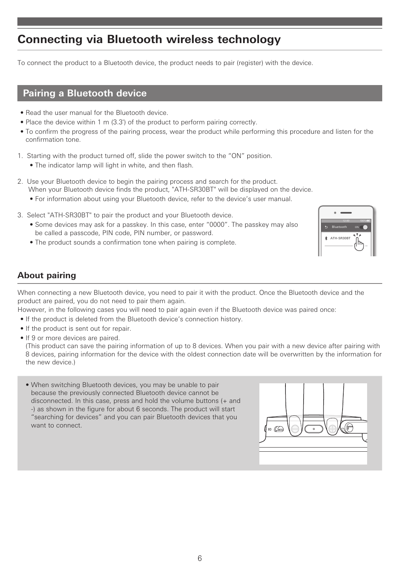## **Connecting via Bluetooth wireless technology**

To connect the product to a Bluetooth device, the product needs to pair (register) with the device.

### **Pairing a Bluetooth device**

- Read the user manual for the Bluetooth device.
- Place the device within 1 m (3.3') of the product to perform pairing correctly.
- To confirm the progress of the pairing process, wear the product while performing this procedure and listen for the confirmation tone.
- 1. Starting with the product turned off, slide the power switch to the "ON" position.
	- The indicator lamp will light in white, and then flash.
- 2. Use your Bluetooth device to begin the pairing process and search for the product. When your Bluetooth device finds the product, "ATH-SR30BT" will be displayed on the device.
	- For information about using your Bluetooth device, refer to the device's user manual.
- 3. Select "ATH-SR30BT" to pair the product and your Bluetooth device.
	- Some devices may ask for a passkey. In this case, enter "0000". The passkey may also be called a passcode, PIN code, PIN number, or password.
	- The product sounds a confirmation tone when pairing is complete.



#### <span id="page-6-0"></span>**About pairing**

When connecting a new Bluetooth device, you need to pair it with the product. Once the Bluetooth device and the product are paired, you do not need to pair them again.

However, in the following cases you will need to pair again even if the Bluetooth device was paired once:

- If the product is deleted from the Bluetooth device's connection history.
- If the product is sent out for repair.
- If 9 or more devices are paired.

(This product can save the pairing information of up to 8 devices. When you pair with a new device after pairing with 8 devices, pairing information for the device with the oldest connection date will be overwritten by the information for the new device.)

• When switching Bluetooth devices, you may be unable to pair because the previously connected Bluetooth device cannot be disconnected. In this case, press and hold the volume buttons (+ and -) as shown in the figure for about 6 seconds. The product will start "searching for devices" and you can pair Bluetooth devices that you want to connect.

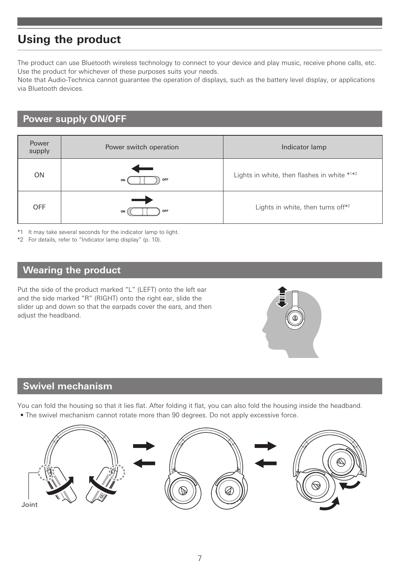## **Using the product**

The product can use Bluetooth wireless technology to connect to your device and play music, receive phone calls, etc. Use the product for whichever of these purposes suits your needs.

Note that Audio-Technica cannot guarantee the operation of displays, such as the battery level display, or applications via Bluetooth devices.

### **Power supply ON/OFF**

| Power<br>supply | Power switch operation | Indicator lamp                                |
|-----------------|------------------------|-----------------------------------------------|
| ON              | -<br>OFF<br>ON (       | Lights in white, then flashes in white $*1*2$ |
| <b>OFF</b>      | OFF<br>ON              | Lights in white, then turns off*2             |

\*1 It may take several seconds for the indicator lamp to light.

\*2 For details, refer to "Indicator lamp display" [\(p. 10\).](#page-10-0)

#### **Wearing the product**

Put the side of the product marked "L" (LEFT) onto the left ear and the side marked "R" (RIGHT) onto the right ear, slide the slider up and down so that the earpads cover the ears, and then adjust the headband.



### **Swivel mechanism**

You can fold the housing so that it lies flat. After folding it flat, you can also fold the housing inside the headband.

• The swivel mechanism cannot rotate more than 90 degrees. Do not apply excessive force.

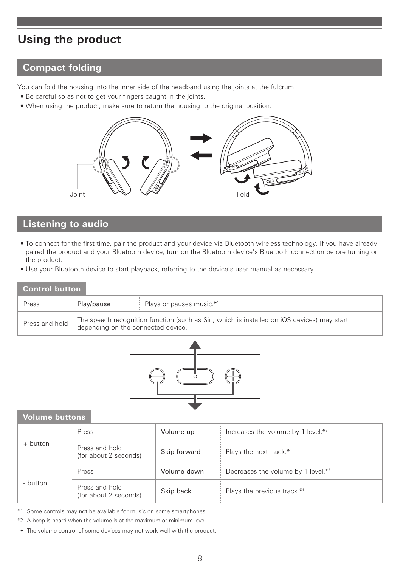## **Using the product**

### **Compact folding**

You can fold the housing into the inner side of the headband using the joints at the fulcrum.

- Be careful so as not to get your fingers caught in the joints.
- When using the product, make sure to return the housing to the original position.



### **Listening to audio**

- To connect for the first time, pair the product and your device via Bluetooth wireless technology. If you have already paired the product and your Bluetooth device, turn on the Bluetooth device's Bluetooth connection before turning on the product.
- Use your Bluetooth device to start playback, referring to the device's user manual as necessary.

#### **Control button**

| Press          | Play/pause                                                                                                                        | Plays or pauses music.*1 |
|----------------|-----------------------------------------------------------------------------------------------------------------------------------|--------------------------|
| Press and hold | The speech recognition function (such as Siri, which is installed on iOS devices) may start<br>depending on the connected device. |                          |



#### **Volume buttons**

| + button | Press                                   | Volume up    | Increases the volume by 1 level.*2 |
|----------|-----------------------------------------|--------------|------------------------------------|
|          | Press and hold<br>(for about 2 seconds) | Skip forward | Plays the next track.*1            |
| - button | Press                                   | Volume down  | Decreases the volume by 1 level.*2 |
|          | Press and hold<br>(for about 2 seconds) | Skip back    | Plays the previous track.*1        |

\*1 Some controls may not be available for music on some smartphones.

\*2 A beep is heard when the volume is at the maximum or minimum level.

• The volume control of some devices may not work well with the product.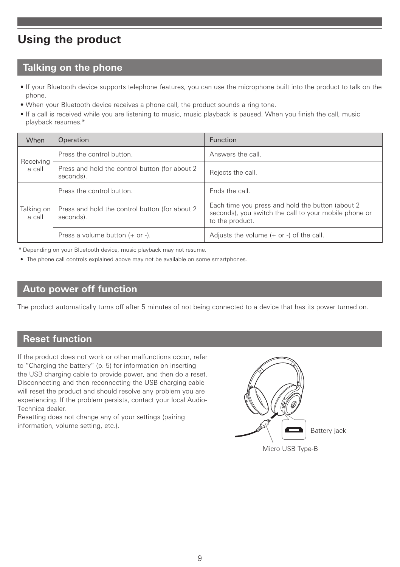## **Using the product**

### **Talking on the phone**

- If your Bluetooth device supports telephone features, you can use the microphone built into the product to talk on the phone.
- When your Bluetooth device receives a phone call, the product sounds a ring tone.
- If a call is received while you are listening to music, music playback is paused. When you finish the call, music playback resumes.\*

| When                 | Operation                                                    | <b>Function</b>                                                                                                               |  |
|----------------------|--------------------------------------------------------------|-------------------------------------------------------------------------------------------------------------------------------|--|
| Receiving<br>a call  | Press the control button.                                    | Answers the call.                                                                                                             |  |
|                      | Press and hold the control button (for about 2)<br>seconds). | Rejects the call.                                                                                                             |  |
| Talking on<br>a call | Press the control button.                                    | Fnds the call.                                                                                                                |  |
|                      | Press and hold the control button (for about 2)<br>seconds). | Each time you press and hold the button (about 2)<br>seconds), you switch the call to your mobile phone or<br>to the product. |  |
|                      | Press a volume button $(+)$ or $-$ ).                        | Adjusts the volume $(+ or -)$ of the call.                                                                                    |  |

\* Depending on your Bluetooth device, music playback may not resume.

• The phone call controls explained above may not be available on some smartphones.

#### **Auto power off function**

The product automatically turns off after 5 minutes of not being connected to a device that has its power turned on.

### <span id="page-9-0"></span>**Reset function**

If the product does not work or other malfunctions occur, refer to "Charging the battery" [\(p. 5\)](#page-5-0) for information on inserting the USB charging cable to provide power, and then do a reset. Disconnecting and then reconnecting the USB charging cable will reset the product and should resolve any problem you are experiencing. If the problem persists, contact your local Audio-Technica dealer.

Resetting does not change any of your settings (pairing information, volume setting, etc.).



Micro USB Type-B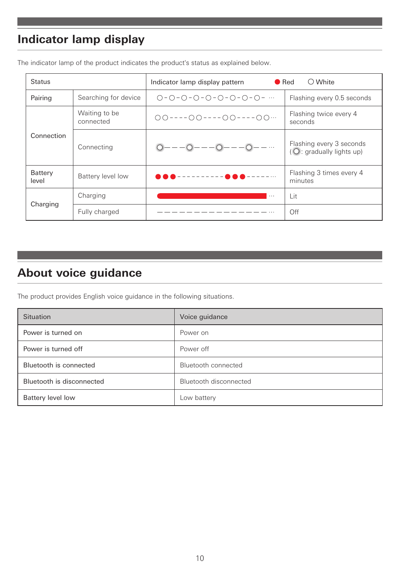## <span id="page-10-0"></span>**Indicator lamp display**

| <b>Status</b>    |                            | $\bigcirc$ White<br>$\bullet$ Red<br>Indicator lamp display pattern |                                                      |
|------------------|----------------------------|---------------------------------------------------------------------|------------------------------------------------------|
| Pairing          | Searching for device       | $O - O - O - O - O - O - O - O - O - $                              | Flashing every 0.5 seconds                           |
| Connection       | Waiting to be<br>connected | $00---00---00---00---00$                                            | Flashing twice every 4<br>seconds                    |
|                  | Connecting                 |                                                                     | Flashing every 3 seconds<br>(O: gradually lights up) |
| Battery<br>level | Battery level low          | --------- <b>@@@</b> -                                              | Flashing 3 times every 4<br>minutes                  |
| Charging         | Charging                   | $\cdots$                                                            | Lit                                                  |
|                  | Fully charged              |                                                                     | Off                                                  |

The indicator lamp of the product indicates the product's status as explained below.

## **About voice guidance**

The product provides English voice guidance in the following situations.

| Situation                 | Voice guidance         |
|---------------------------|------------------------|
| Power is turned on        | Power on               |
| Power is turned off       | Power off              |
| Bluetooth is connected    | Bluetooth connected    |
| Bluetooth is disconnected | Bluetooth disconnected |
| Battery level low         | Low battery            |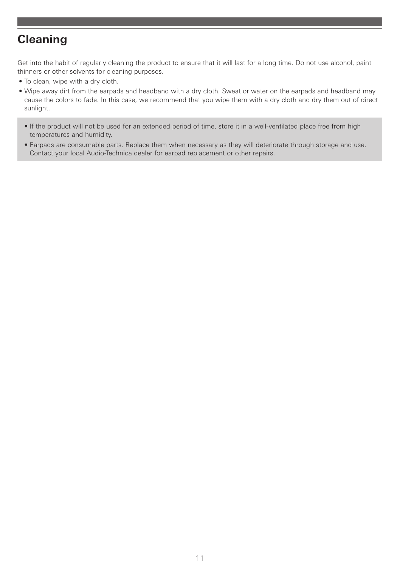### **Cleaning**

Get into the habit of regularly cleaning the product to ensure that it will last for a long time. Do not use alcohol, paint thinners or other solvents for cleaning purposes.

- To clean, wipe with a dry cloth.
- Wipe away dirt from the earpads and headband with a dry cloth. Sweat or water on the earpads and headband may cause the colors to fade. In this case, we recommend that you wipe them with a dry cloth and dry them out of direct sunlight.
	- If the product will not be used for an extended period of time, store it in a well-ventilated place free from high temperatures and humidity.
	- Earpads are consumable parts. Replace them when necessary as they will deteriorate through storage and use. Contact your local Audio-Technica dealer for earpad replacement or other repairs.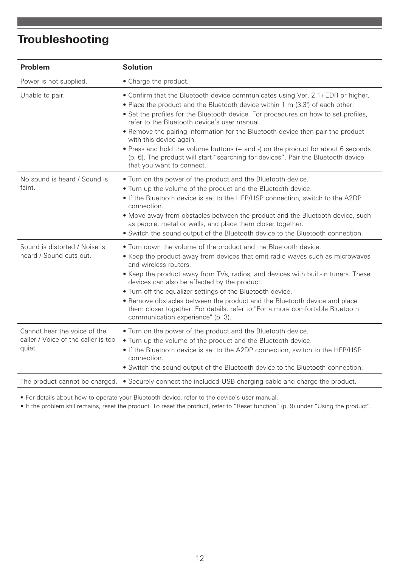## **Troubleshooting**

| Problem                                                                       | <b>Solution</b>                                                                                                                                                                                                                                                                                                                                                                                                                                                                                                                                                                                                            |
|-------------------------------------------------------------------------------|----------------------------------------------------------------------------------------------------------------------------------------------------------------------------------------------------------------------------------------------------------------------------------------------------------------------------------------------------------------------------------------------------------------------------------------------------------------------------------------------------------------------------------------------------------------------------------------------------------------------------|
| Power is not supplied.                                                        | • Charge the product.                                                                                                                                                                                                                                                                                                                                                                                                                                                                                                                                                                                                      |
| Unable to pair.                                                               | • Confirm that the Bluetooth device communicates using Ver. 2.1+EDR or higher.<br>• Place the product and the Bluetooth device within 1 m (3.3') of each other.<br>• Set the profiles for the Bluetooth device. For procedures on how to set profiles,<br>refer to the Bluetooth device's user manual.<br>. Remove the pairing information for the Bluetooth device then pair the product<br>with this device again.<br>• Press and hold the volume buttons (+ and -) on the product for about 6 seconds<br>(p. 6). The product will start "searching for devices". Pair the Bluetooth device<br>that you want to connect. |
| No sound is heard / Sound is<br>faint.                                        | . Turn on the power of the product and the Bluetooth device.<br>• Turn up the volume of the product and the Bluetooth device.<br>• If the Bluetooth device is set to the HFP/HSP connection, switch to the A2DP<br>connection.<br>• Move away from obstacles between the product and the Bluetooth device, such<br>as people, metal or walls, and place them closer together.<br>• Switch the sound output of the Bluetooth device to the Bluetooth connection.                                                                                                                                                            |
| Sound is distorted / Noise is<br>heard / Sound cuts out.                      | . Turn down the volume of the product and the Bluetooth device.<br>• Keep the product away from devices that emit radio waves such as microwaves<br>and wireless routers.<br>• Keep the product away from TVs, radios, and devices with built-in tuners. These<br>devices can also be affected by the product.<br>. Turn off the equalizer settings of the Bluetooth device.<br>• Remove obstacles between the product and the Bluetooth device and place<br>them closer together. For details, refer to "For a more comfortable Bluetooth<br>communication experience" (p. 3).                                            |
| Cannot hear the voice of the<br>caller / Voice of the caller is too<br>quiet. | . Turn on the power of the product and the Bluetooth device.<br>. Turn up the volume of the product and the Bluetooth device.<br>• If the Bluetooth device is set to the A2DP connection, switch to the HFP/HSP<br>connection.<br>• Switch the sound output of the Bluetooth device to the Bluetooth connection.                                                                                                                                                                                                                                                                                                           |
|                                                                               | The product cannot be charged. $\bullet$ Securely connect the included USB charging cable and charge the product.                                                                                                                                                                                                                                                                                                                                                                                                                                                                                                          |

• For details about how to operate your Bluetooth device, refer to the device's user manual.

• If the problem still remains, reset the product. To reset the product, refer to "Reset function" [\(p. 9\)](#page-9-0) under "Using the product".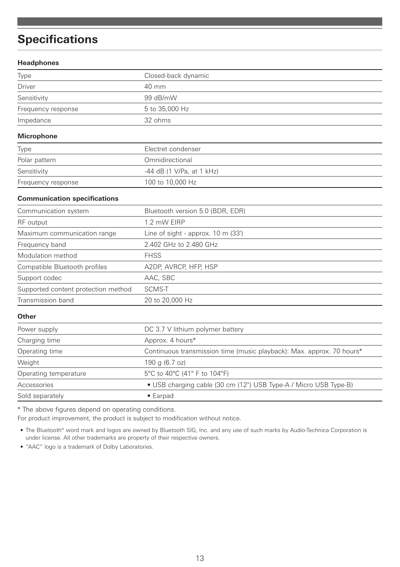## **Specifications**

#### **Headphones**

| Type                                | Closed-back dynamic                                                   |
|-------------------------------------|-----------------------------------------------------------------------|
| <b>Driver</b>                       | 40 mm                                                                 |
| Sensitivity                         | 99 dB/mW                                                              |
| Frequency response                  | 5 to 35,000 Hz                                                        |
| Impedance                           | 32 ohms                                                               |
| <b>Microphone</b>                   |                                                                       |
| Type                                | Flectret condenser                                                    |
| Polar pattern                       | Omnidirectional                                                       |
| Sensitivity                         | -44 dB (1 V/Pa, at 1 kHz)                                             |
| Frequency response                  | 100 to 10,000 Hz                                                      |
| <b>Communication specifications</b> |                                                                       |
| Communication system                | Bluetooth version 5.0 (BDR, EDR)                                      |
| RF output                           | 1.2 mW EIRP                                                           |
| Maximum communication range         | Line of sight - approx. $10 \text{ m}$ (33')                          |
| Frequency band                      | 2.402 GHz to 2.480 GHz                                                |
| Modulation method                   | <b>FHSS</b>                                                           |
| Compatible Bluetooth profiles       | A2DP, AVRCP, HFP, HSP                                                 |
| Support codec                       | AAC, SBC                                                              |
| Supported content protection method | SCMS-T                                                                |
| Transmission band                   | 20 to 20,000 Hz                                                       |
| Other                               |                                                                       |
| Power supply                        | DC 3.7 V lithium polymer battery                                      |
| Charging time                       | Approx. 4 hours*                                                      |
| Operating time                      | Continuous transmission time (music playback): Max. approx. 70 hours* |
| Weight                              | 190 g (6.7 oz)                                                        |
| Operating temperature               | 5°C to 40°C (41° F to 104°F)                                          |
| Accessories                         | • USB charging cable (30 cm (12") USB Type-A / Micro USB Type-B)      |
| Sold separately                     | $\bullet$ Earpad                                                      |

\* The above figures depend on operating conditions.

For product improvement, the product is subject to modification without notice.

• The Bluetooth® word mark and logos are owned by Bluetooth SIG, Inc. and any use of such marks by Audio-Technica Corporation is under license. All other trademarks are property of their respective owners.

• "AAC" logo is a trademark of Dolby Laboratories.